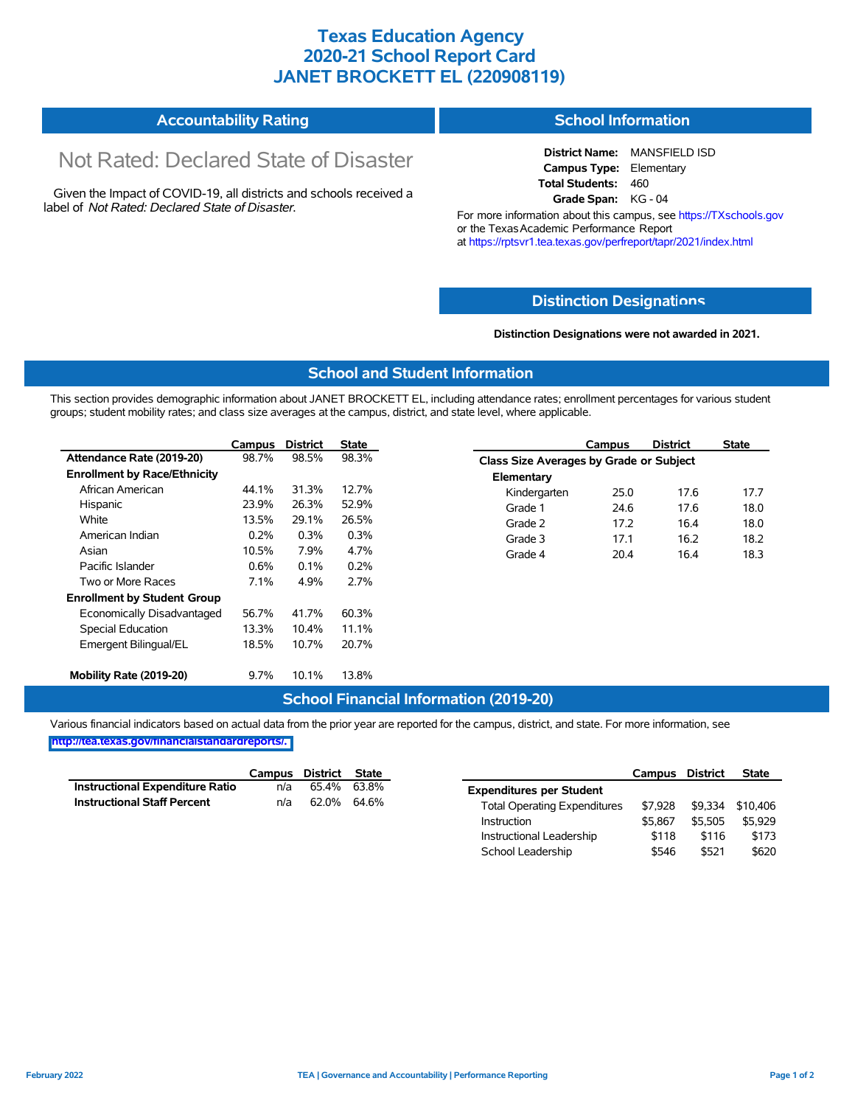## **Texas Education Agency 2020-21 School Report Card JANET BROCKETT EL (220908119)**

#### **Accountability Rating School Information**

# Not Rated: Declared State of Disaster

Given the Impact of COVID-19, all districts and schools received a label of *Not Rated: Declared State of Disaster.*

**District Name:** MANSFIELD ISD **Campus Type:** Elementary **Total Students:** 460 **Grade Span:** KG - 04

For more information about this campus, see https://TXschools.gov or the Texas Academic Performance Report at https://rptsvr1.tea.texas.gov/perfreport/tapr/2021/index.html

#### **Distinction Designat[ions](https://TXschools.gov)**

**Distinction Designations were not awarded in 2021.**

School Leadership  $$546$  \$521 \$620

#### **School and Student Information**

This section provides demographic information about JANET BROCKETT EL, including attendance rates; enrollment percentages for various student groups; student mobility rates; and class size averages at the campus, district, and state level, where applicable.

|                                     | Campus | <b>District</b> | <b>State</b> |              | Campus                                  | <b>District</b> | <b>State</b> |  |  |  |
|-------------------------------------|--------|-----------------|--------------|--------------|-----------------------------------------|-----------------|--------------|--|--|--|
| Attendance Rate (2019-20)           | 98.7%  | 98.5%           | 98.3%        |              | Class Size Averages by Grade or Subject |                 |              |  |  |  |
| <b>Enrollment by Race/Ethnicity</b> |        |                 |              | Elementary   |                                         |                 |              |  |  |  |
| African American                    | 44.1%  | 31.3%           | 12.7%        | Kindergarten | 25.0                                    | 17.6            | 17.7         |  |  |  |
| Hispanic                            | 23.9%  | 26.3%           | 52.9%        | Grade 1      | 24.6                                    | 17.6            | 18.0         |  |  |  |
| White                               | 13.5%  | 29.1%           | 26.5%        | Grade 2      | 17.2                                    | 16.4            | 18.0         |  |  |  |
| American Indian                     | 0.2%   | 0.3%            | 0.3%         | Grade 3      | 17.1                                    | 16.2            | 18.2         |  |  |  |
| Asian                               | 10.5%  | 7.9%            | 4.7%         | Grade 4      | 20.4                                    | 16.4            | 18.3         |  |  |  |
| Pacific Islander                    | 0.6%   | 0.1%            | 0.2%         |              |                                         |                 |              |  |  |  |
| Two or More Races                   | 7.1%   | 4.9%            | 2.7%         |              |                                         |                 |              |  |  |  |
| <b>Enrollment by Student Group</b>  |        |                 |              |              |                                         |                 |              |  |  |  |
| Economically Disadvantaged          | 56.7%  | 41.7%           | 60.3%        |              |                                         |                 |              |  |  |  |
| Special Education                   | 13.3%  | 10.4%           | 11.1%        |              |                                         |                 |              |  |  |  |
| Emergent Bilingual/EL               | 18.5%  | 10.7%           | 20.7%        |              |                                         |                 |              |  |  |  |
|                                     |        |                 |              |              |                                         |                 |              |  |  |  |
| Mobility Rate (2019-20)             | 9.7%   | 10.1%           | 13.8%        |              |                                         |                 |              |  |  |  |

#### **School Financial Information (2019-20)**

Various financial indicators based on actual data from the prior year are reported for the campus, district, and state. For more information, see

**[http://tea.texas.gov/financialstandardreports/.](http://tea.texas.gov/financialstandardreports/)**

|                                    | Campus | District | <b>State</b> |                                     | Campus  | <b>District</b> | <b>State</b> |
|------------------------------------|--------|----------|--------------|-------------------------------------|---------|-----------------|--------------|
| Instructional Expenditure Ratio    | n/a    | 65.4%    | 63.8%        | <b>Expenditures per Student</b>     |         |                 |              |
| <b>Instructional Staff Percent</b> | n/a    | 62.0%    | 64.6%        | <b>Total Operating Expenditures</b> | \$7.928 | \$9.334         | \$10.406     |
|                                    |        |          |              | Instruction                         | \$5.867 | \$5.505         | \$5.929      |
|                                    |        |          |              | Instructional Leadership            | \$118   | \$116           | \$173        |